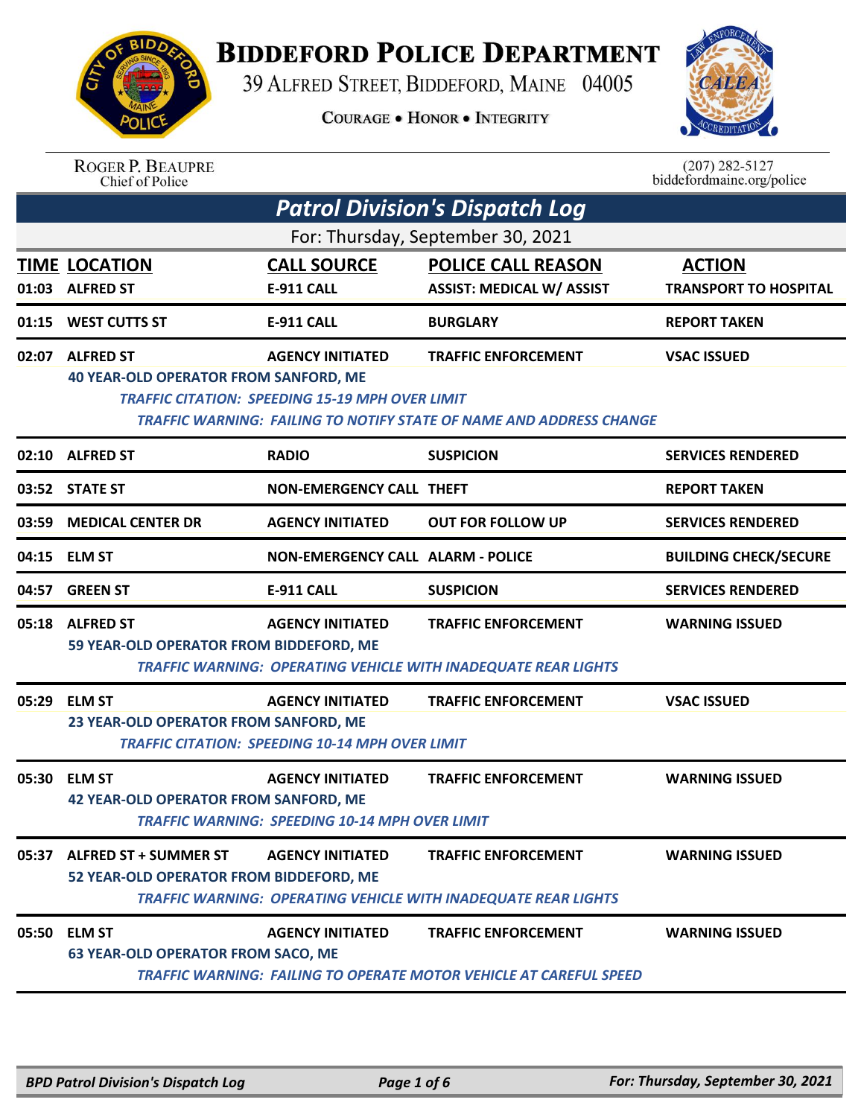

## **BIDDEFORD POLICE DEPARTMENT**

39 ALFRED STREET, BIDDEFORD, MAINE 04005

**COURAGE . HONOR . INTEGRITY** 



|       | <b>ROGER P. BEAUPRE</b><br>Chief of Police                             |                                                                                   |                                                                                                          | $(207) 282 - 5127$<br>biddefordmaine.org/police |
|-------|------------------------------------------------------------------------|-----------------------------------------------------------------------------------|----------------------------------------------------------------------------------------------------------|-------------------------------------------------|
|       |                                                                        |                                                                                   | <b>Patrol Division's Dispatch Log</b>                                                                    |                                                 |
|       |                                                                        |                                                                                   | For: Thursday, September 30, 2021                                                                        |                                                 |
| 01:03 | <b>TIME LOCATION</b><br><b>ALFRED ST</b>                               | <b>CALL SOURCE</b><br>E-911 CALL                                                  | <b>POLICE CALL REASON</b><br><b>ASSIST: MEDICAL W/ ASSIST</b>                                            | <b>ACTION</b><br><b>TRANSPORT TO HOSPITAL</b>   |
| 01:15 | <b>WEST CUTTS ST</b>                                                   | <b>E-911 CALL</b>                                                                 | <b>BURGLARY</b>                                                                                          | <b>REPORT TAKEN</b>                             |
| 02:07 | <b>ALFRED ST</b><br><b>40 YEAR-OLD OPERATOR FROM SANFORD, ME</b>       | <b>AGENCY INITIATED</b><br><b>TRAFFIC CITATION: SPEEDING 15-19 MPH OVER LIMIT</b> | <b>TRAFFIC ENFORCEMENT</b><br><b>TRAFFIC WARNING: FAILING TO NOTIFY STATE OF NAME AND ADDRESS CHANGE</b> | <b>VSAC ISSUED</b>                              |
| 02:10 | <b>ALFRED ST</b>                                                       | <b>RADIO</b>                                                                      | <b>SUSPICION</b>                                                                                         | <b>SERVICES RENDERED</b>                        |
|       | 03:52 STATE ST                                                         | <b>NON-EMERGENCY CALL THEFT</b>                                                   |                                                                                                          | <b>REPORT TAKEN</b>                             |
| 03:59 | <b>MEDICAL CENTER DR</b>                                               | <b>AGENCY INITIATED</b>                                                           | <b>OUT FOR FOLLOW UP</b>                                                                                 | <b>SERVICES RENDERED</b>                        |
| 04:15 | <b>ELM ST</b>                                                          | <b>NON-EMERGENCY CALL ALARM - POLICE</b>                                          |                                                                                                          | <b>BUILDING CHECK/SECURE</b>                    |
| 04:57 | <b>GREEN ST</b>                                                        | <b>E-911 CALL</b>                                                                 | <b>SUSPICION</b>                                                                                         | <b>SERVICES RENDERED</b>                        |
| 05:18 | <b>ALFRED ST</b><br>59 YEAR-OLD OPERATOR FROM BIDDEFORD, ME            | <b>AGENCY INITIATED</b>                                                           | <b>TRAFFIC ENFORCEMENT</b><br><b>TRAFFIC WARNING: OPERATING VEHICLE WITH INADEQUATE REAR LIGHTS</b>      | <b>WARNING ISSUED</b>                           |
| 05:29 | <b>ELM ST</b><br>23 YEAR-OLD OPERATOR FROM SANFORD, ME                 | <b>AGENCY INITIATED</b><br><b>TRAFFIC CITATION: SPEEDING 10-14 MPH OVER LIMIT</b> | <b>TRAFFIC ENFORCEMENT</b>                                                                               | <b>VSAC ISSUED</b>                              |
|       | 05:30 ELM ST<br><b>42 YEAR-OLD OPERATOR FROM SANFORD, ME</b>           | <b>AGENCY INITIATED</b><br><b>TRAFFIC WARNING: SPEEDING 10-14 MPH OVER LIMIT</b>  | <b>TRAFFIC ENFORCEMENT</b>                                                                               | <b>WARNING ISSUED</b>                           |
|       | 05:37 ALFRED ST + SUMMER ST<br>52 YEAR-OLD OPERATOR FROM BIDDEFORD, ME | <b>AGENCY INITIATED</b>                                                           | <b>TRAFFIC ENFORCEMENT</b><br><b>TRAFFIC WARNING: OPERATING VEHICLE WITH INADEQUATE REAR LIGHTS</b>      | <b>WARNING ISSUED</b>                           |
| 05:50 | <b>ELM ST</b><br><b>63 YEAR-OLD OPERATOR FROM SACO, ME</b>             | <b>AGENCY INITIATED</b>                                                           | <b>TRAFFIC ENFORCEMENT</b><br>TRAFFIC WARNING: FAILING TO OPERATE MOTOR VEHICLE AT CAREFUL SPEED         | <b>WARNING ISSUED</b>                           |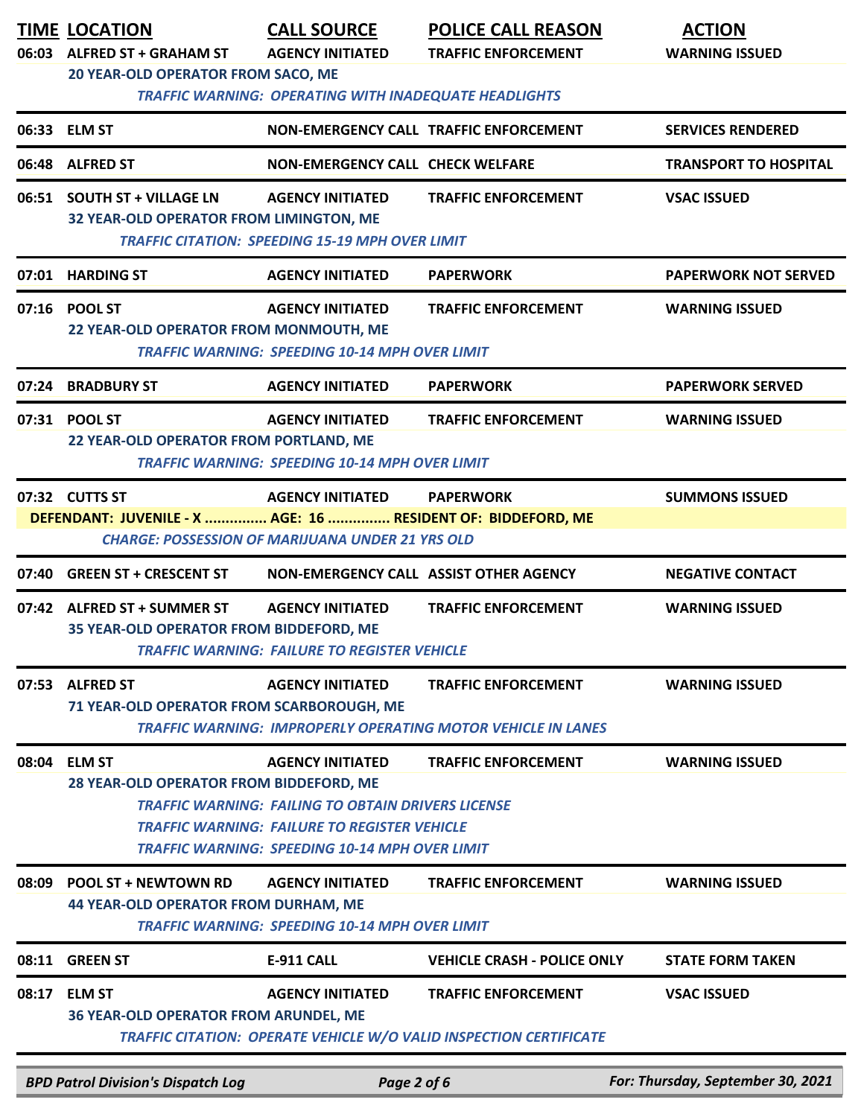|       | <b>TIME LOCATION</b><br>06:03 ALFRED ST + GRAHAM ST<br><b>20 YEAR-OLD OPERATOR FROM SACO, ME</b> | <b>CALL SOURCE</b><br><b>AGENCY INITIATED</b><br><b>TRAFFIC WARNING: OPERATING WITH INADEQUATE HEADLIGHTS</b>                                                                                        | <b>POLICE CALL REASON</b><br><b>TRAFFIC ENFORCEMENT</b>                                                 | <b>ACTION</b><br><b>WARNING ISSUED</b> |
|-------|--------------------------------------------------------------------------------------------------|------------------------------------------------------------------------------------------------------------------------------------------------------------------------------------------------------|---------------------------------------------------------------------------------------------------------|----------------------------------------|
|       | 06:33 ELM ST                                                                                     |                                                                                                                                                                                                      | NON-EMERGENCY CALL TRAFFIC ENFORCEMENT                                                                  | <b>SERVICES RENDERED</b>               |
|       | 06:48 ALFRED ST                                                                                  | <b>NON-EMERGENCY CALL CHECK WELFARE</b>                                                                                                                                                              |                                                                                                         | <b>TRANSPORT TO HOSPITAL</b>           |
|       | 06:51 SOUTH ST + VILLAGE LN<br>32 YEAR-OLD OPERATOR FROM LIMINGTON, ME                           | <b>AGENCY INITIATED</b><br><b>TRAFFIC CITATION: SPEEDING 15-19 MPH OVER LIMIT</b>                                                                                                                    | <b>TRAFFIC ENFORCEMENT</b>                                                                              | <b>VSAC ISSUED</b>                     |
|       | 07:01 HARDING ST                                                                                 | <b>AGENCY INITIATED</b>                                                                                                                                                                              | <b>PAPERWORK</b>                                                                                        | <b>PAPERWORK NOT SERVED</b>            |
|       | 07:16 POOL ST<br>22 YEAR-OLD OPERATOR FROM MONMOUTH, ME                                          | <b>AGENCY INITIATED</b><br><b>TRAFFIC WARNING: SPEEDING 10-14 MPH OVER LIMIT</b>                                                                                                                     | <b>TRAFFIC ENFORCEMENT</b>                                                                              | <b>WARNING ISSUED</b>                  |
|       | 07:24 BRADBURY ST                                                                                | <b>AGENCY INITIATED</b>                                                                                                                                                                              | <b>PAPERWORK</b>                                                                                        | <b>PAPERWORK SERVED</b>                |
|       | 07:31 POOL ST<br>22 YEAR-OLD OPERATOR FROM PORTLAND, ME                                          | <b>AGENCY INITIATED</b><br><b>TRAFFIC WARNING: SPEEDING 10-14 MPH OVER LIMIT</b>                                                                                                                     | <b>TRAFFIC ENFORCEMENT</b>                                                                              | <b>WARNING ISSUED</b>                  |
|       | 07:32 CUTTS ST<br>DEFENDANT: JUVENILE - X  AGE: 16  RESIDENT OF: BIDDEFORD, ME                   | <b>AGENCY INITIATED</b><br><b>CHARGE: POSSESSION OF MARIJUANA UNDER 21 YRS OLD</b>                                                                                                                   | <b>PAPERWORK</b>                                                                                        | <b>SUMMONS ISSUED</b>                  |
| 07:40 | <b>GREEN ST + CRESCENT ST</b>                                                                    | NON-EMERGENCY CALL ASSIST OTHER AGENCY                                                                                                                                                               |                                                                                                         | <b>NEGATIVE CONTACT</b>                |
|       | 07:42 ALFRED ST + SUMMER ST<br>35 YEAR-OLD OPERATOR FROM BIDDEFORD, ME                           | <b>AGENCY INITIATED</b><br>TRAFFIC WARNING:  FAILURE TO REGISTER VEHICLE                                                                                                                             | <b>TRAFFIC ENFORCEMENT</b>                                                                              | <b>WARNING ISSUED</b>                  |
| 07:53 | <b>ALFRED ST</b><br>71 YEAR-OLD OPERATOR FROM SCARBOROUGH, ME                                    | <b>AGENCY INITIATED</b>                                                                                                                                                                              | <b>TRAFFIC ENFORCEMENT</b><br><b>TRAFFIC WARNING: IMPROPERLY OPERATING MOTOR VEHICLE IN LANES</b>       | <b>WARNING ISSUED</b>                  |
|       | 08:04 ELM ST<br>28 YEAR-OLD OPERATOR FROM BIDDEFORD, ME                                          | <b>AGENCY INITIATED</b><br><b>TRAFFIC WARNING: FAILING TO OBTAIN DRIVERS LICENSE</b><br><b>TRAFFIC WARNING: FAILURE TO REGISTER VEHICLE</b><br><b>TRAFFIC WARNING: SPEEDING 10-14 MPH OVER LIMIT</b> | <b>TRAFFIC ENFORCEMENT</b>                                                                              | <b>WARNING ISSUED</b>                  |
| 08:09 | <b>POOL ST + NEWTOWN RD</b><br>44 YEAR-OLD OPERATOR FROM DURHAM, ME                              | <b>AGENCY INITIATED</b><br><b>TRAFFIC WARNING: SPEEDING 10-14 MPH OVER LIMIT</b>                                                                                                                     | <b>TRAFFIC ENFORCEMENT</b>                                                                              | <b>WARNING ISSUED</b>                  |
| 08:11 | <b>GREEN ST</b>                                                                                  | <b>E-911 CALL</b>                                                                                                                                                                                    | <b>VEHICLE CRASH - POLICE ONLY</b>                                                                      | <b>STATE FORM TAKEN</b>                |
| 08:17 | <b>ELM ST</b><br><b>36 YEAR-OLD OPERATOR FROM ARUNDEL, ME</b>                                    | <b>AGENCY INITIATED</b>                                                                                                                                                                              | <b>TRAFFIC ENFORCEMENT</b><br><b>TRAFFIC CITATION: OPERATE VEHICLE W/O VALID INSPECTION CERTIFICATE</b> | <b>VSAC ISSUED</b>                     |
|       | <b>BPD Patrol Division's Dispatch Log</b>                                                        | Page 2 of 6                                                                                                                                                                                          |                                                                                                         | For: Thursday, September 30, 2021      |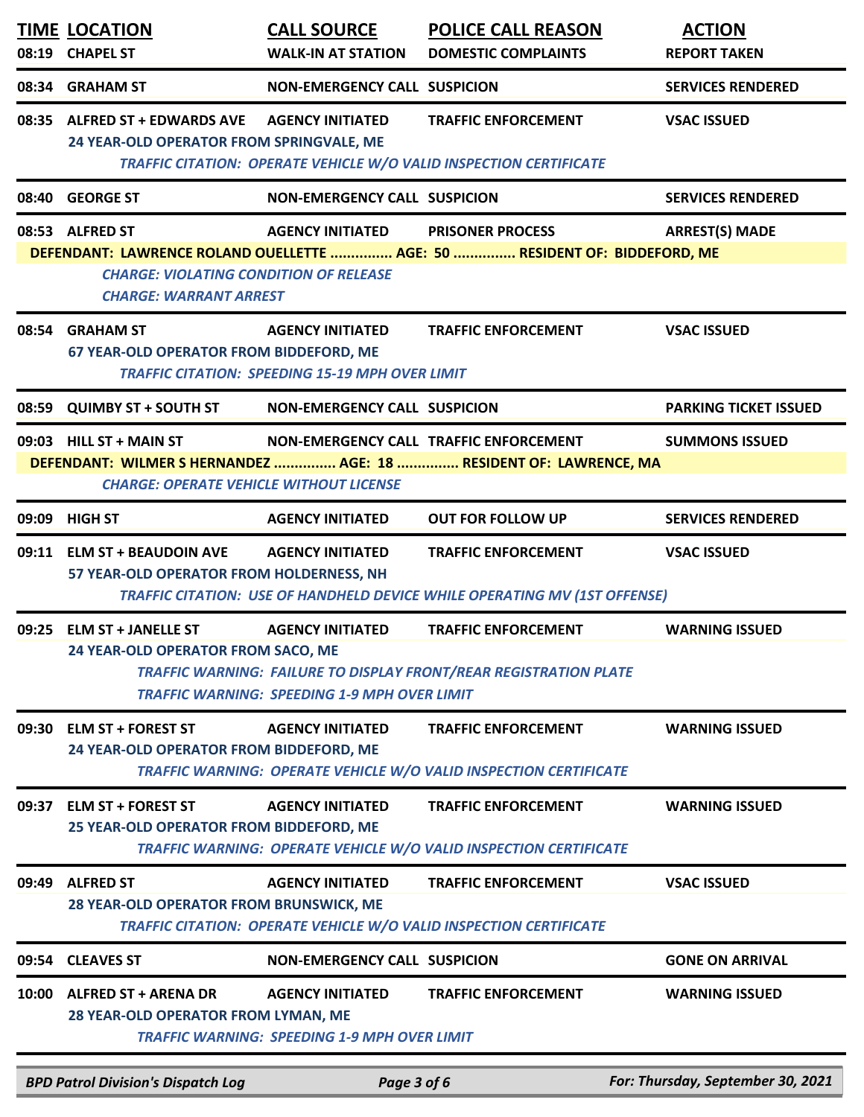|       | <b>TIME LOCATION</b><br>08:19 CHAPEL ST                                                           | <b>CALL SOURCE</b><br><b>WALK-IN AT STATION</b>                                   | <b>POLICE CALL REASON</b><br><b>DOMESTIC COMPLAINTS</b>                                                        | <b>ACTION</b><br><b>REPORT TAKEN</b> |
|-------|---------------------------------------------------------------------------------------------------|-----------------------------------------------------------------------------------|----------------------------------------------------------------------------------------------------------------|--------------------------------------|
|       | 08:34 GRAHAM ST                                                                                   | <b>NON-EMERGENCY CALL SUSPICION</b>                                               |                                                                                                                | <b>SERVICES RENDERED</b>             |
|       | 08:35 ALFRED ST + EDWARDS AVE<br>24 YEAR-OLD OPERATOR FROM SPRINGVALE, ME                         | <b>AGENCY INITIATED</b>                                                           | <b>TRAFFIC ENFORCEMENT</b><br>TRAFFIC CITATION: OPERATE VEHICLE W/O VALID INSPECTION CERTIFICATE               | <b>VSAC ISSUED</b>                   |
|       | 08:40 GEORGE ST                                                                                   | <b>NON-EMERGENCY CALL SUSPICION</b>                                               |                                                                                                                | <b>SERVICES RENDERED</b>             |
|       | 08:53 ALFRED ST<br><b>CHARGE: VIOLATING CONDITION OF RELEASE</b><br><b>CHARGE: WARRANT ARREST</b> | <b>AGENCY INITIATED</b>                                                           | <b>PRISONER PROCESS</b><br>DEFENDANT: LAWRENCE ROLAND OUELLETTE  AGE: 50  RESIDENT OF: BIDDEFORD, ME           | <b>ARREST(S) MADE</b>                |
|       | 08:54 GRAHAM ST<br>67 YEAR-OLD OPERATOR FROM BIDDEFORD, ME                                        | <b>AGENCY INITIATED</b><br><b>TRAFFIC CITATION: SPEEDING 15-19 MPH OVER LIMIT</b> | <b>TRAFFIC ENFORCEMENT</b>                                                                                     | <b>VSAC ISSUED</b>                   |
|       | 08:59 QUIMBY ST + SOUTH ST NON-EMERGENCY CALL SUSPICION                                           |                                                                                   |                                                                                                                | <b>PARKING TICKET ISSUED</b>         |
|       | 09:03 HILL ST + MAIN ST<br><b>CHARGE: OPERATE VEHICLE WITHOUT LICENSE</b>                         |                                                                                   | NON-EMERGENCY CALL TRAFFIC ENFORCEMENT<br>DEFENDANT: WILMER S HERNANDEZ  AGE: 18  RESIDENT OF: LAWRENCE, MA    | <b>SUMMONS ISSUED</b>                |
|       | 09:09 HIGH ST                                                                                     | <b>AGENCY INITIATED</b>                                                           | <b>OUT FOR FOLLOW UP</b>                                                                                       | <b>SERVICES RENDERED</b>             |
|       | 09:11 ELM ST + BEAUDOIN AVE<br>57 YEAR-OLD OPERATOR FROM HOLDERNESS, NH                           | <b>AGENCY INITIATED</b>                                                           | <b>TRAFFIC ENFORCEMENT</b><br><b>TRAFFIC CITATION: USE OF HANDHELD DEVICE WHILE OPERATING MV (1ST OFFENSE)</b> | <b>VSAC ISSUED</b>                   |
|       | 09:25 ELM ST + JANELLE ST<br>24 YEAR-OLD OPERATOR FROM SACO, ME                                   | <b>AGENCY INITIATED</b><br><b>TRAFFIC WARNING: SPEEDING 1-9 MPH OVER LIMIT</b>    | <b>TRAFFIC ENFORCEMENT</b><br><b>TRAFFIC WARNING: FAILURE TO DISPLAY FRONT/REAR REGISTRATION PLATE</b>         | <b>WARNING ISSUED</b>                |
| 09:30 | <b>ELM ST + FOREST ST</b><br>24 YEAR-OLD OPERATOR FROM BIDDEFORD, ME                              | <b>AGENCY INITIATED</b>                                                           | <b>TRAFFIC ENFORCEMENT</b><br><b>TRAFFIC WARNING: OPERATE VEHICLE W/O VALID INSPECTION CERTIFICATE</b>         | <b>WARNING ISSUED</b>                |
| 09:37 | <b>ELM ST + FOREST ST</b><br>25 YEAR-OLD OPERATOR FROM BIDDEFORD, ME                              | <b>AGENCY INITIATED</b>                                                           | <b>TRAFFIC ENFORCEMENT</b><br>TRAFFIC WARNING: OPERATE VEHICLE W/O VALID INSPECTION CERTIFICATE                | <b>WARNING ISSUED</b>                |
| 09:49 | <b>ALFRED ST</b><br>28 YEAR-OLD OPERATOR FROM BRUNSWICK, ME                                       | <b>AGENCY INITIATED</b>                                                           | <b>TRAFFIC ENFORCEMENT</b><br>TRAFFIC CITATION: OPERATE VEHICLE W/O VALID INSPECTION CERTIFICATE               | <b>VSAC ISSUED</b>                   |
|       | 09:54 CLEAVES ST                                                                                  | <b>NON-EMERGENCY CALL SUSPICION</b>                                               |                                                                                                                | <b>GONE ON ARRIVAL</b>               |
|       | 10:00 ALFRED ST + ARENA DR<br>28 YEAR-OLD OPERATOR FROM LYMAN, ME                                 | <b>AGENCY INITIATED</b><br><b>TRAFFIC WARNING: SPEEDING 1-9 MPH OVER LIMIT</b>    | <b>TRAFFIC ENFORCEMENT</b>                                                                                     | <b>WARNING ISSUED</b>                |
|       | <b>BPD Patrol Division's Dispatch Log</b>                                                         | Page 3 of 6                                                                       |                                                                                                                | For: Thursday, September 30, 2021    |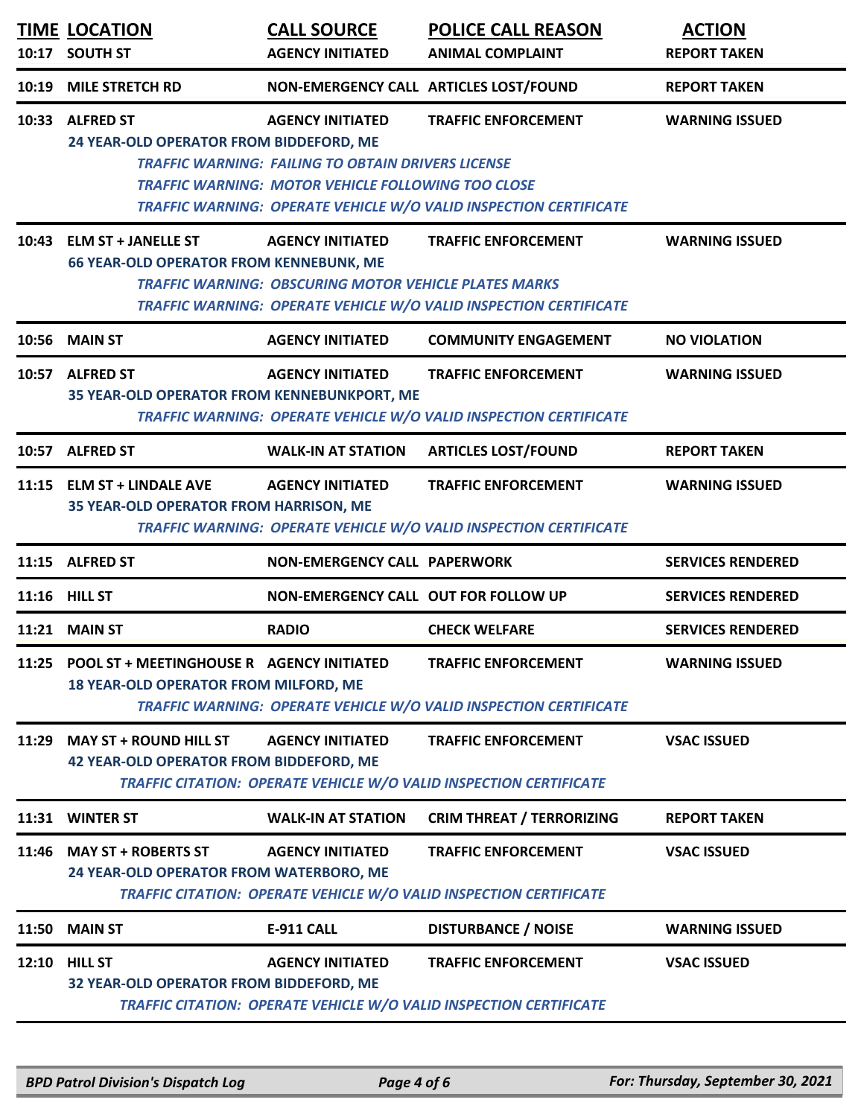| 10:17 | <b>TIME LOCATION</b><br><b>SOUTH ST</b>                                                                                                                                                                                              | <b>CALL SOURCE</b><br><b>AGENCY INITIATED</b>                                                                                                     | <b>POLICE CALL REASON</b><br><b>ANIMAL COMPLAINT</b>                                                   | <b>ACTION</b><br><b>REPORT TAKEN</b> |  |
|-------|--------------------------------------------------------------------------------------------------------------------------------------------------------------------------------------------------------------------------------------|---------------------------------------------------------------------------------------------------------------------------------------------------|--------------------------------------------------------------------------------------------------------|--------------------------------------|--|
| 10:19 | <b>MILE STRETCH RD</b>                                                                                                                                                                                                               |                                                                                                                                                   | NON-EMERGENCY CALL ARTICLES LOST/FOUND                                                                 | <b>REPORT TAKEN</b>                  |  |
|       | 10:33 ALFRED ST<br>24 YEAR-OLD OPERATOR FROM BIDDEFORD, ME                                                                                                                                                                           | <b>AGENCY INITIATED</b><br><b>TRAFFIC WARNING: FAILING TO OBTAIN DRIVERS LICENSE</b><br><b>TRAFFIC WARNING: MOTOR VEHICLE FOLLOWING TOO CLOSE</b> | <b>TRAFFIC ENFORCEMENT</b><br>TRAFFIC WARNING: OPERATE VEHICLE W/O VALID INSPECTION CERTIFICATE        | <b>WARNING ISSUED</b>                |  |
| 10:43 | <b>ELM ST + JANELLE ST</b><br><b>66 YEAR-OLD OPERATOR FROM KENNEBUNK, ME</b>                                                                                                                                                         | <b>AGENCY INITIATED</b><br><b>TRAFFIC WARNING: OBSCURING MOTOR VEHICLE PLATES MARKS</b>                                                           | <b>TRAFFIC ENFORCEMENT</b><br><b>TRAFFIC WARNING: OPERATE VEHICLE W/O VALID INSPECTION CERTIFICATE</b> | <b>WARNING ISSUED</b>                |  |
| 10:56 | <b>MAIN ST</b>                                                                                                                                                                                                                       | <b>AGENCY INITIATED</b>                                                                                                                           | <b>COMMUNITY ENGAGEMENT</b>                                                                            | <b>NO VIOLATION</b>                  |  |
|       | 10:57 ALFRED ST<br>35 YEAR-OLD OPERATOR FROM KENNEBUNKPORT, ME                                                                                                                                                                       | <b>AGENCY INITIATED</b>                                                                                                                           | <b>TRAFFIC ENFORCEMENT</b><br>TRAFFIC WARNING: OPERATE VEHICLE W/O VALID INSPECTION CERTIFICATE        | <b>WARNING ISSUED</b>                |  |
|       | 10:57 ALFRED ST                                                                                                                                                                                                                      | <b>WALK-IN AT STATION</b>                                                                                                                         | <b>ARTICLES LOST/FOUND</b>                                                                             | <b>REPORT TAKEN</b>                  |  |
|       | 11:15 ELM ST + LINDALE AVE<br><b>35 YEAR-OLD OPERATOR FROM HARRISON, ME</b>                                                                                                                                                          | <b>AGENCY INITIATED</b>                                                                                                                           | <b>TRAFFIC ENFORCEMENT</b><br><b>TRAFFIC WARNING: OPERATE VEHICLE W/O VALID INSPECTION CERTIFICATE</b> | <b>WARNING ISSUED</b>                |  |
|       | 11:15 ALFRED ST                                                                                                                                                                                                                      | <b>NON-EMERGENCY CALL PAPERWORK</b>                                                                                                               |                                                                                                        | <b>SERVICES RENDERED</b>             |  |
|       | 11:16 HILL ST                                                                                                                                                                                                                        | NON-EMERGENCY CALL OUT FOR FOLLOW UP                                                                                                              |                                                                                                        | <b>SERVICES RENDERED</b>             |  |
| 11:21 | <b>MAIN ST</b>                                                                                                                                                                                                                       | <b>RADIO</b>                                                                                                                                      | <b>CHECK WELFARE</b>                                                                                   | <b>SERVICES RENDERED</b>             |  |
| 11:25 | POOL ST + MEETINGHOUSE R AGENCY INITIATED<br>18 YEAR-OLD OPERATOR FROM MILFORD, ME                                                                                                                                                   |                                                                                                                                                   | <b>TRAFFIC ENFORCEMENT</b><br>TRAFFIC WARNING: OPERATE VEHICLE W/O VALID INSPECTION CERTIFICATE        | <b>WARNING ISSUED</b>                |  |
| 11:29 | <b>MAY ST + ROUND HILL ST</b><br><b>AGENCY INITIATED</b><br><b>TRAFFIC ENFORCEMENT</b><br><b>VSAC ISSUED</b><br><b>42 YEAR-OLD OPERATOR FROM BIDDEFORD, ME</b><br>TRAFFIC CITATION: OPERATE VEHICLE W/O VALID INSPECTION CERTIFICATE |                                                                                                                                                   |                                                                                                        |                                      |  |
|       | 11:31 WINTER ST                                                                                                                                                                                                                      | <b>WALK-IN AT STATION</b>                                                                                                                         | <b>CRIM THREAT / TERRORIZING</b>                                                                       | <b>REPORT TAKEN</b>                  |  |
| 11:46 | <b>MAY ST + ROBERTS ST</b><br>24 YEAR-OLD OPERATOR FROM WATERBORO, ME                                                                                                                                                                | <b>AGENCY INITIATED</b>                                                                                                                           | <b>TRAFFIC ENFORCEMENT</b><br>TRAFFIC CITATION: OPERATE VEHICLE W/O VALID INSPECTION CERTIFICATE       | <b>VSAC ISSUED</b>                   |  |
| 11:50 | <b>MAIN ST</b>                                                                                                                                                                                                                       | <b>E-911 CALL</b>                                                                                                                                 | <b>DISTURBANCE / NOISE</b>                                                                             | <b>WARNING ISSUED</b>                |  |
| 12:10 | <b>HILL ST</b><br>32 YEAR-OLD OPERATOR FROM BIDDEFORD, ME                                                                                                                                                                            | <b>AGENCY INITIATED</b>                                                                                                                           | <b>TRAFFIC ENFORCEMENT</b><br>TRAFFIC CITATION: OPERATE VEHICLE W/O VALID INSPECTION CERTIFICATE       | <b>VSAC ISSUED</b>                   |  |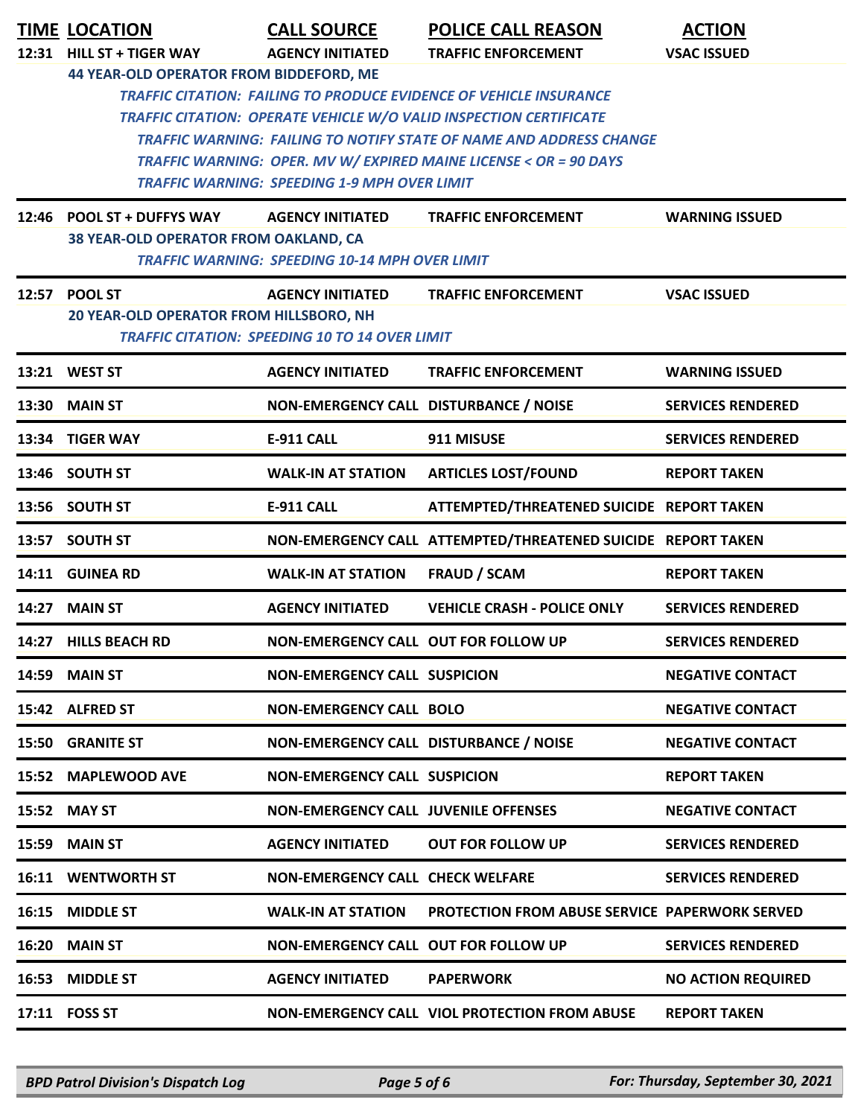|       | <b>TIME LOCATION</b>                                                      | <b>CALL SOURCE</b>                                    | <b>POLICE CALL REASON</b>                                                  | <b>ACTION</b>             |  |  |
|-------|---------------------------------------------------------------------------|-------------------------------------------------------|----------------------------------------------------------------------------|---------------------------|--|--|
| 12:31 | <b>HILL ST + TIGER WAY</b>                                                | <b>AGENCY INITIATED</b>                               | <b>TRAFFIC ENFORCEMENT</b>                                                 | <b>VSAC ISSUED</b>        |  |  |
|       | 44 YEAR-OLD OPERATOR FROM BIDDEFORD, ME                                   |                                                       |                                                                            |                           |  |  |
|       | <b>TRAFFIC CITATION: FAILING TO PRODUCE EVIDENCE OF VEHICLE INSURANCE</b> |                                                       |                                                                            |                           |  |  |
|       |                                                                           |                                                       | <b>TRAFFIC CITATION: OPERATE VEHICLE W/O VALID INSPECTION CERTIFICATE</b>  |                           |  |  |
|       |                                                                           |                                                       | <b>TRAFFIC WARNING: FAILING TO NOTIFY STATE OF NAME AND ADDRESS CHANGE</b> |                           |  |  |
|       |                                                                           | TRAFFIC WARNING: SPEEDING 1-9 MPH OVER LIMIT          | TRAFFIC WARNING: OPER. MV W/ EXPIRED MAINE LICENSE < OR = 90 DAYS          |                           |  |  |
|       |                                                                           |                                                       |                                                                            |                           |  |  |
|       | 12:46 POOL ST + DUFFYS WAY                                                | <b>AGENCY INITIATED</b>                               | <b>TRAFFIC ENFORCEMENT</b>                                                 | <b>WARNING ISSUED</b>     |  |  |
|       | 38 YEAR-OLD OPERATOR FROM OAKLAND, CA                                     |                                                       |                                                                            |                           |  |  |
|       |                                                                           | <b>TRAFFIC WARNING: SPEEDING 10-14 MPH OVER LIMIT</b> |                                                                            |                           |  |  |
|       | 12:57 POOL ST                                                             | <b>AGENCY INITIATED</b>                               | <b>TRAFFIC ENFORCEMENT</b>                                                 | <b>VSAC ISSUED</b>        |  |  |
|       | 20 YEAR-OLD OPERATOR FROM HILLSBORO, NH                                   |                                                       |                                                                            |                           |  |  |
|       |                                                                           | <b>TRAFFIC CITATION: SPEEDING 10 TO 14 OVER LIMIT</b> |                                                                            |                           |  |  |
|       | 13:21 WEST ST                                                             | <b>AGENCY INITIATED</b>                               | <b>TRAFFIC ENFORCEMENT</b>                                                 | <b>WARNING ISSUED</b>     |  |  |
|       | <b>13:30 MAIN ST</b>                                                      | NON-EMERGENCY CALL DISTURBANCE / NOISE                |                                                                            | <b>SERVICES RENDERED</b>  |  |  |
|       | 13:34 TIGER WAY                                                           | <b>E-911 CALL</b>                                     | 911 MISUSE                                                                 | <b>SERVICES RENDERED</b>  |  |  |
|       | 13:46 SOUTH ST                                                            | <b>WALK-IN AT STATION</b>                             | <b>ARTICLES LOST/FOUND</b>                                                 | <b>REPORT TAKEN</b>       |  |  |
|       | 13:56 SOUTH ST                                                            | <b>E-911 CALL</b>                                     | ATTEMPTED/THREATENED SUICIDE REPORT TAKEN                                  |                           |  |  |
| 13:57 | <b>SOUTH ST</b>                                                           |                                                       | NON-EMERGENCY CALL ATTEMPTED/THREATENED SUICIDE REPORT TAKEN               |                           |  |  |
| 14:11 | <b>GUINEA RD</b>                                                          | <b>WALK-IN AT STATION</b>                             | <b>FRAUD / SCAM</b>                                                        | <b>REPORT TAKEN</b>       |  |  |
| 14:27 | <b>MAIN ST</b>                                                            | <b>AGENCY INITIATED</b>                               | <b>VEHICLE CRASH - POLICE ONLY</b>                                         | <b>SERVICES RENDERED</b>  |  |  |
|       | 14:27 HILLS BEACH RD                                                      | NON-EMERGENCY CALL OUT FOR FOLLOW UP                  |                                                                            | <b>SERVICES RENDERED</b>  |  |  |
|       | <b>14:59 MAIN ST</b>                                                      | <b>NON-EMERGENCY CALL SUSPICION</b>                   |                                                                            | <b>NEGATIVE CONTACT</b>   |  |  |
|       | 15:42 ALFRED ST                                                           | <b>NON-EMERGENCY CALL BOLO</b>                        |                                                                            | <b>NEGATIVE CONTACT</b>   |  |  |
| 15:50 | <b>GRANITE ST</b>                                                         | NON-EMERGENCY CALL DISTURBANCE / NOISE                |                                                                            | <b>NEGATIVE CONTACT</b>   |  |  |
|       | 15:52 MAPLEWOOD AVE                                                       | <b>NON-EMERGENCY CALL SUSPICION</b>                   |                                                                            | <b>REPORT TAKEN</b>       |  |  |
|       | 15:52 MAY ST                                                              | <b>NON-EMERGENCY CALL JUVENILE OFFENSES</b>           |                                                                            | <b>NEGATIVE CONTACT</b>   |  |  |
|       | 15:59 MAIN ST                                                             | <b>AGENCY INITIATED</b>                               | <b>OUT FOR FOLLOW UP</b>                                                   | <b>SERVICES RENDERED</b>  |  |  |
|       | 16:11 WENTWORTH ST                                                        | <b>NON-EMERGENCY CALL CHECK WELFARE</b>               |                                                                            | <b>SERVICES RENDERED</b>  |  |  |
|       | 16:15 MIDDLE ST                                                           | <b>WALK-IN AT STATION</b>                             | <b>PROTECTION FROM ABUSE SERVICE PAPERWORK SERVED</b>                      |                           |  |  |
|       | 16:20 MAIN ST                                                             | NON-EMERGENCY CALL OUT FOR FOLLOW UP                  |                                                                            | <b>SERVICES RENDERED</b>  |  |  |
|       | 16:53 MIDDLE ST                                                           | <b>AGENCY INITIATED</b>                               | <b>PAPERWORK</b>                                                           | <b>NO ACTION REQUIRED</b> |  |  |
|       | 17:11 FOSS ST                                                             |                                                       | NON-EMERGENCY CALL VIOL PROTECTION FROM ABUSE                              | <b>REPORT TAKEN</b>       |  |  |